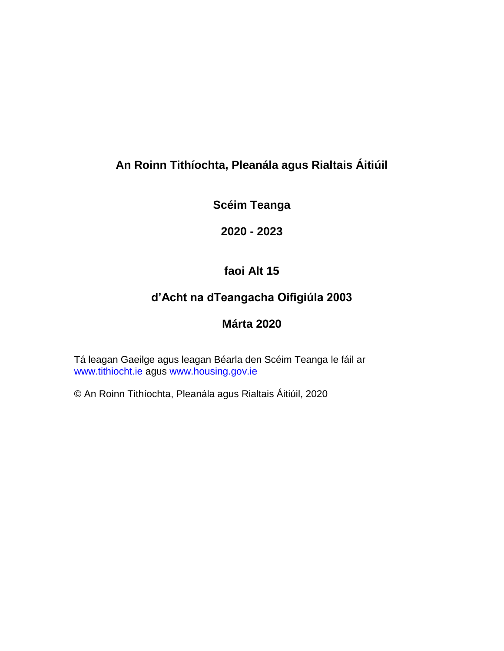# **An Roinn Tithíochta, Pleanála agus Rialtais Áitiúil**

**Scéim Teanga**

**2020 - 2023**

# **faoi Alt 15**

# **d'Acht na dTeangacha Oifigiúla 2003**

# **Márta 2020**

Tá leagan Gaeilge agus leagan Béarla den Scéim Teanga le fáil ar [www.tithiocht.ie](about:blank) agus [www.housing.gov.ie](about:blank)

© An Roinn Tithíochta, Pleanála agus Rialtais Áitiúil, 2020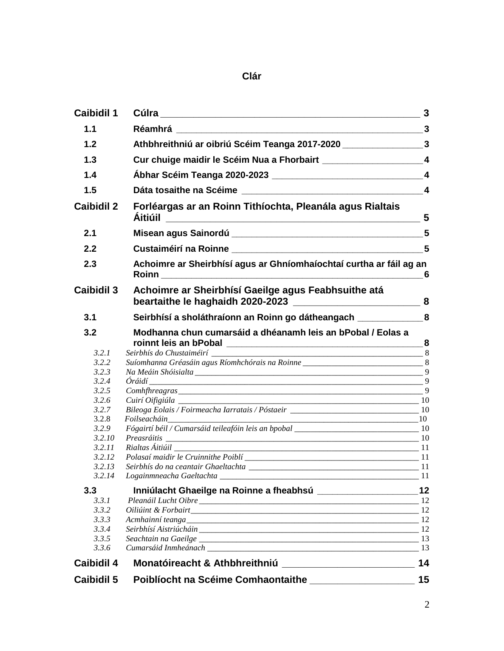**Clár**

| <b>Caibidil 1</b>                                                                                                            |                                                                                                                                                                                                                                                                                                                                                                              | $\overline{\mathbf{3}}$ |
|------------------------------------------------------------------------------------------------------------------------------|------------------------------------------------------------------------------------------------------------------------------------------------------------------------------------------------------------------------------------------------------------------------------------------------------------------------------------------------------------------------------|-------------------------|
| 1.1                                                                                                                          |                                                                                                                                                                                                                                                                                                                                                                              |                         |
| 1.2                                                                                                                          | Athbhreithniú ar oibriú Scéim Teanga 2017-2020 ____________________3                                                                                                                                                                                                                                                                                                         |                         |
| 1.3                                                                                                                          | Cur chuige maidir le Scéim Nua a Fhorbairt _____________________________4                                                                                                                                                                                                                                                                                                    |                         |
| 1.4                                                                                                                          |                                                                                                                                                                                                                                                                                                                                                                              |                         |
| 1.5                                                                                                                          |                                                                                                                                                                                                                                                                                                                                                                              |                         |
| <b>Caibidil 2</b>                                                                                                            | Forléargas ar an Roinn Tithíochta, Pleanála agus Rialtais                                                                                                                                                                                                                                                                                                                    |                         |
| 2.1                                                                                                                          |                                                                                                                                                                                                                                                                                                                                                                              |                         |
| 2.2                                                                                                                          |                                                                                                                                                                                                                                                                                                                                                                              |                         |
| 2.3                                                                                                                          | Achoimre ar Sheirbhísí agus ar Ghníomhaíochtaí curtha ar fáil ag an<br><b>Roinn</b>                                                                                                                                                                                                                                                                                          | 6                       |
| <b>Caibidil 3</b>                                                                                                            | Achoimre ar Sheirbhísí Gaeilge agus Feabhsuithe atá                                                                                                                                                                                                                                                                                                                          |                         |
| 3.1                                                                                                                          | Seirbhísí a sholáthraíonn an Roinn go dátheangach ______________8                                                                                                                                                                                                                                                                                                            |                         |
| 3.2<br>3.2.1<br>3.2.2<br>3.2.3<br>3.2.4<br>3.2.5<br>3.2.6<br>3.2.7<br>3.2.8<br>3.2.9<br>3.2.10<br>3.2.11<br>3.2.12<br>3.2.13 | Modhanna chun cumarsáid a dhéanamh leis an bPobal / Eolas a<br>Suíomhanna Gréasáin agus Ríomhchórais na Roinne __________________________________8<br>$Comhf {hreagrams} \_$ 9<br>$Folseacháin$ 10<br>Fógairtí béil / Cumarsáid teileafóin leis an bpobal 10 meán an teilear an teilear an teilear an teilear an teil<br>Preasráitis 10<br>Rialtas Áitiúil _________________ |                         |
| 3.3<br>3.3.1<br>3.3.2<br>3.3.3<br>3.3.4<br>3.3.5<br>3.3.6                                                                    |                                                                                                                                                                                                                                                                                                                                                                              |                         |
| <b>Caibidil 4</b>                                                                                                            |                                                                                                                                                                                                                                                                                                                                                                              | 14                      |
| <b>Caibidil 5</b>                                                                                                            | <b>Poiblíocht na Scéime Comhaontaithe</b>                                                                                                                                                                                                                                                                                                                                    | 15                      |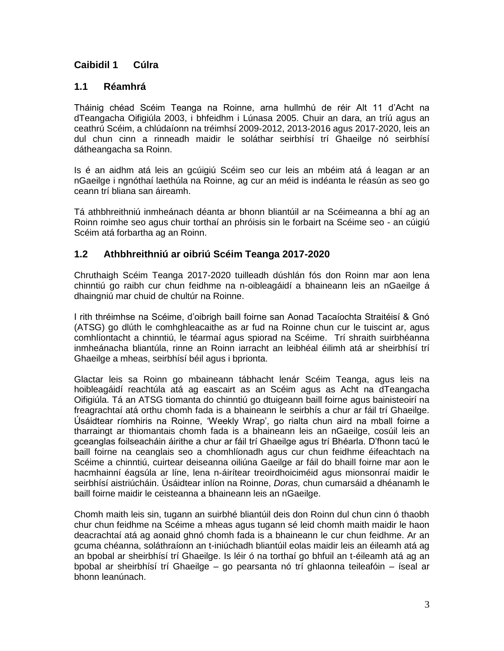# <span id="page-2-0"></span>**Caibidil 1 Cúlra**

## **1.1 Réamhrá**

Tháinig chéad Scéim Teanga na Roinne, arna hullmhú de réir Alt 11 d'Acht na dTeangacha Oifigiúla 2003, i bhfeidhm i Lúnasa 2005. Chuir an dara, an tríú agus an ceathrú Scéim, a chlúdaíonn na tréimhsí 2009-2012, 2013-2016 agus 2017-2020, leis an dul chun cinn a rinneadh maidir le soláthar seirbhísí trí Ghaeilge nó seirbhísí dátheangacha sa Roinn.

Is é an aidhm atá leis an gcúigiú Scéim seo cur leis an mbéim atá á leagan ar an nGaeilge i ngnóthaí laethúla na Roinne, ag cur an méid is indéanta le réasún as seo go ceann trí bliana san áireamh.

Tá athbhreithniú inmheánach déanta ar bhonn bliantúil ar na Scéimeanna a bhí ag an Roinn roimhe seo agus chuir torthaí an phróisis sin le forbairt na Scéime seo - an cúigiú Scéim atá forbartha ag an Roinn.

## **1.2 Athbhreithniú ar oibriú Scéim Teanga 2017-2020**

Chruthaigh Scéim Teanga 2017-2020 tuilleadh dúshlán fós don Roinn mar aon lena chinntiú go raibh cur chun feidhme na n-oibleagáidí a bhaineann leis an nGaeilge á dhaingniú mar chuid de chultúr na Roinne.

I rith thréimhse na Scéime, d'oibrigh baill foirne san Aonad Tacaíochta Straitéisí & Gnó (ATSG) go dlúth le comhghleacaithe as ar fud na Roinne chun cur le tuiscint ar, agus comhlíontacht a chinntiú, le téarmaí agus spiorad na Scéime. Trí shraith suirbhéanna inmheánacha bliantúla, rinne an Roinn iarracht an leibhéal éilimh atá ar sheirbhísí trí Ghaeilge a mheas, seirbhísí béil agus i bprionta.

Glactar leis sa Roinn go mbaineann tábhacht lenár Scéim Teanga, agus leis na hoibleagáidí reachtúla atá ag eascairt as an Scéim agus as Acht na dTeangacha Oifigiúla. Tá an ATSG tiomanta do chinntiú go dtuigeann baill foirne agus bainisteoirí na freagrachtaí atá orthu chomh fada is a bhaineann le seirbhís a chur ar fáil trí Ghaeilge. Úsáidtear ríomhiris na Roinne, 'Weekly Wrap', go rialta chun aird na mball foirne a tharraingt ar thiomantais chomh fada is a bhaineann leis an nGaeilge, cosúil leis an gceanglas foilseacháin áirithe a chur ar fáil trí Ghaeilge agus trí Bhéarla. D'fhonn tacú le baill foirne na ceanglais seo a chomhlíonadh agus cur chun feidhme éifeachtach na Scéime a chinntiú, cuirtear deiseanna oiliúna Gaeilge ar fáil do bhaill foirne mar aon le hacmhainní éagsúla ar líne, lena n-áirítear treoirdhoiciméid agus mionsonraí maidir le seirbhísí aistriúcháin. Úsáidtear inlíon na Roinne, *Doras,* chun cumarsáid a dhéanamh le baill foirne maidir le ceisteanna a bhaineann leis an nGaeilge.

Chomh maith leis sin, tugann an suirbhé bliantúil deis don Roinn dul chun cinn ó thaobh chur chun feidhme na Scéime a mheas agus tugann sé leid chomh maith maidir le haon deacrachtaí atá ag aonaid ghnó chomh fada is a bhaineann le cur chun feidhme. Ar an gcuma chéanna, soláthraíonn an t-iniúchadh bliantúil eolas maidir leis an éileamh atá ag an bpobal ar sheirbhísí trí Ghaeilge. Is léir ó na torthaí go bhfuil an t-éileamh atá ag an bpobal ar sheirbhísí trí Ghaeilge – go pearsanta nó trí ghlaonna teileafóin – íseal ar bhonn leanúnach.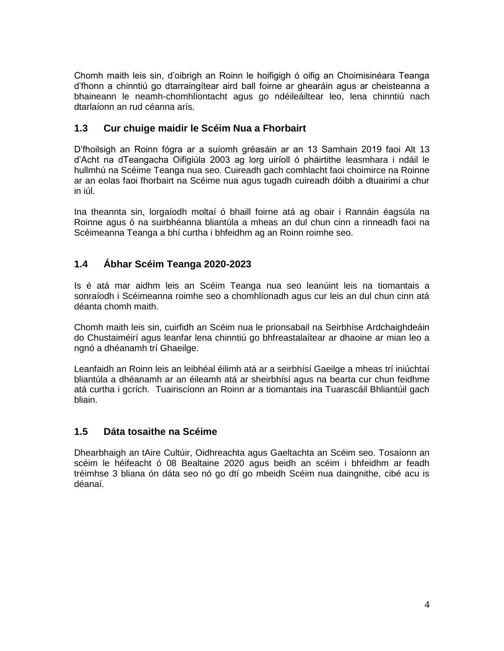Chomh maith leis sin, d'oibrigh an Roinn le hoifigigh ó oifig an Choimisinéara Teanga d'fhonn a chinntiú go dtarraingítear aird ball foirne ar ghearáin agus ar cheisteanna a bhaineann le neamh-chomhlíontacht agus go ndéileáiltear leo, lena chinntiú nach dtarlaíonn an rud céanna arís.

## **1.3 Cur chuige maidir le Scéim Nua a Fhorbairt**

D'fhoilsigh an Roinn fógra ar a suíomh gréasáin ar an 13 Samhain 2019 faoi Alt 13 d'Acht na dTeangacha Oifigiúla 2003 ag lorg uiríoll ó pháirtithe leasmhara i ndáil le hullmhú na Scéime Teanga nua seo. Cuireadh gach comhlacht faoi choimirce na Roinne ar an eolas faoi fhorbairt na Scéime nua agus tugadh cuireadh dóibh a dtuairimí a chur in iúl.

Ina theannta sin, lorgaíodh moltaí ó bhaill foirne atá ag obair i Rannáin éagsúla na Roinne agus ó na suirbhéanna bliantúla a mheas an dul chun cinn a rinneadh faoi na Scéimeanna Teanga a bhí curtha i bhfeidhm ag an Roinn roimhe seo.

# **1.4 Ábhar Scéim Teanga 2020-2023**

Is é atá mar aidhm leis an Scéim Teanga nua seo leanúint leis na tiomantais a sonraíodh i Scéimeanna roimhe seo a chomhlíonadh agus cur leis an dul chun cinn atá déanta chomh maith.

Chomh maith leis sin, cuirfidh an Scéim nua le prionsabail na Seirbhíse Ardchaighdeáin do Chustaiméirí agus leanfar lena chinntiú go bhfreastalaítear ar dhaoine ar mian leo a ngnó a dhéanamh trí Ghaeilge.

Leanfaidh an Roinn leis an leibhéal éilimh atá ar a seirbhísí Gaeilge a mheas trí iniúchtaí bliantúla a dhéanamh ar an éileamh atá ar sheirbhísí agus na bearta cur chun feidhme atá curtha i gcrích. Tuairiscíonn an Roinn ar a tiomantais ina Tuarascáil Bhliantúil gach bliain.

## **1.5 Dáta tosaithe na Scéime**

Dhearbhaigh an tAire Cultúir, Oidhreachta agus Gaeltachta an Scéim seo. Tosaíonn an scéim le héifeacht ó 08 Bealtaine 2020 agus beidh an scéim i bhfeidhm ar feadh tréimhse 3 bliana ón dáta seo nó go dtí go mbeidh Scéim nua daingnithe, cibé acu is déanaí.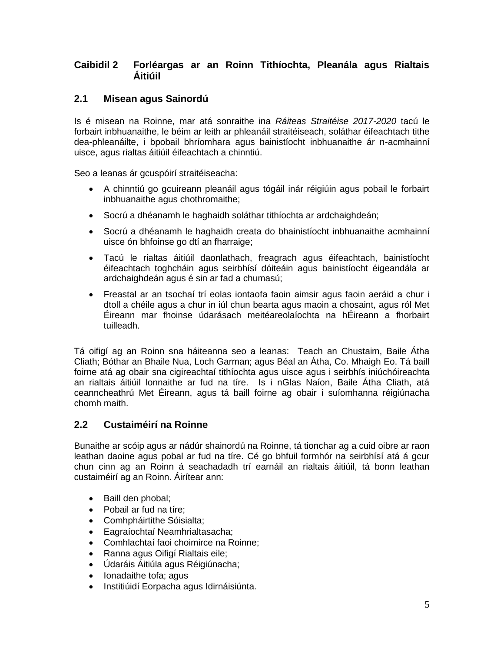## **Caibidil 2 Forléargas ar an Roinn Tithíochta, Pleanála agus Rialtais Áitiúil**

## **2.1 Misean agus Sainordú**

Is é misean na Roinne, mar atá sonraithe ina *Ráiteas Straitéise 2017-2020* tacú le forbairt inbhuanaithe, le béim ar leith ar phleanáil straitéiseach, soláthar éifeachtach tithe dea-phleanáilte, i bpobail bhríomhara agus bainistíocht inbhuanaithe ár n-acmhainní uisce, agus rialtas áitiúil éifeachtach a chinntiú.

Seo a leanas ár gcuspóirí straitéiseacha:

- A chinntiú go gcuireann pleanáil agus tógáil inár réigiúin agus pobail le forbairt inbhuanaithe agus chothromaithe;
- Socrú a dhéanamh le haghaidh soláthar tithíochta ar ardchaighdeán;
- Socrú a dhéanamh le haghaidh creata do bhainistíocht inbhuanaithe acmhainní uisce ón bhfoinse go dtí an fharraige;
- Tacú le rialtas áitiúil daonlathach, freagrach agus éifeachtach, bainistíocht éifeachtach toghcháin agus seirbhísí dóiteáin agus bainistíocht éigeandála ar ardchaighdeán agus é sin ar fad a chumasú;
- Freastal ar an tsochaí trí eolas iontaofa faoin aimsir agus faoin aeráid a chur i dtoll a chéile agus a chur in iúl chun bearta agus maoin a chosaint, agus ról Met Éireann mar fhoinse údarásach meitéareolaíochta na hÉireann a fhorbairt tuilleadh.

Tá oifigí ag an Roinn sna háiteanna seo a leanas: Teach an Chustaim, Baile Átha Cliath; Bóthar an Bhaile Nua, Loch Garman; agus Béal an Átha, Co. Mhaigh Eo. Tá baill foirne atá ag obair sna cigireachtaí tithíochta agus uisce agus i seirbhís iniúchóireachta an rialtais áitiúil lonnaithe ar fud na tíre. Is i nGlas Naíon, Baile Átha Cliath, atá ceanncheathrú Met Éireann, agus tá baill foirne ag obair i suíomhanna réigiúnacha chomh maith.

# **2.2 Custaiméirí na Roinne**

Bunaithe ar scóip agus ar nádúr shainordú na Roinne, tá tionchar ag a cuid oibre ar raon leathan daoine agus pobal ar fud na tíre. Cé go bhfuil formhór na seirbhísí atá á gcur chun cinn ag an Roinn á seachadadh trí earnáil an rialtais áitiúil, tá bonn leathan custaiméirí ag an Roinn. Áirítear ann:

- Baill den phobal;
- Pobail ar fud na tíre;
- Comhpháirtithe Sóisialta;
- Eagraíochtaí Neamhrialtasacha;
- Comhlachtaí faoi choimirce na Roinne;
- Ranna agus Oifigí Rialtais eile;
- Údaráis Áitiúla agus Réigiúnacha;
- Ionadaithe tofa; agus
- **·** Institiúidí Eorpacha agus Idirnáisiúnta.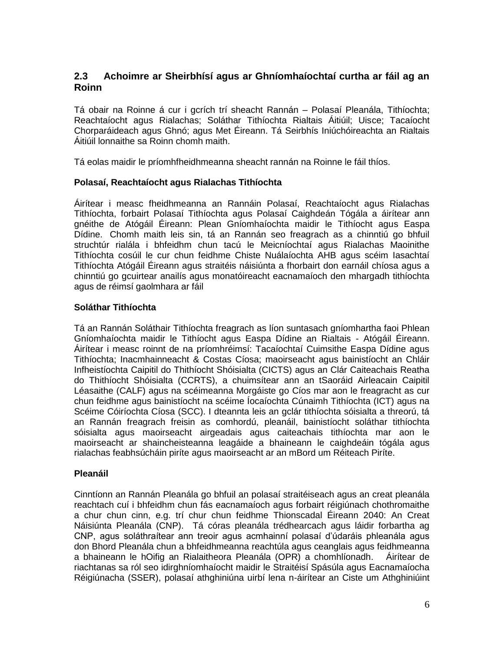## **2.3 Achoimre ar Sheirbhísí agus ar Ghníomhaíochtaí curtha ar fáil ag an Roinn**

Tá obair na Roinne á cur i gcrích trí sheacht Rannán – Polasaí Pleanála, Tithíochta; Reachtaíocht agus Rialachas; Soláthar Tithíochta Rialtais Áitiúil; Uisce; Tacaíocht Chorparáideach agus Ghnó; agus Met Éireann. Tá Seirbhís Iniúchóireachta an Rialtais Áitiúil lonnaithe sa Roinn chomh maith.

Tá eolas maidir le príomhfheidhmeanna sheacht rannán na Roinne le fáil thíos.

#### **Polasaí, Reachtaíocht agus Rialachas Tithíochta**

Áirítear i measc fheidhmeanna an Rannáin Polasaí, Reachtaíocht agus Rialachas Tithíochta, forbairt Polasaí Tithíochta agus Polasaí Caighdeán Tógála a áirítear ann gnéithe de Atógáil Éireann: Plean Gníomhaíochta maidir le Tithíocht agus Easpa Dídine. Chomh maith leis sin, tá an Rannán seo freagrach as a chinntiú go bhfuil struchtúr rialála i bhfeidhm chun tacú le Meicníochtaí agus Rialachas Maoinithe Tithíochta cosúil le cur chun feidhme Chiste Nuálaíochta AHB agus scéim Iasachtaí Tithíochta Atógáil Éireann agus straitéis náisiúnta a fhorbairt don earnáil chíosa agus a chinntiú go gcuirtear anailís agus monatóireacht eacnamaíoch den mhargadh tithíochta agus de réimsí gaolmhara ar fáil

#### **Soláthar Tithíochta**

Tá an Rannán Soláthair Tithíochta freagrach as líon suntasach gníomhartha faoi Phlean Gníomhaíochta maidir le Tithíocht agus Easpa Dídine an Rialtais - Atógáil Éireann. Áirítear i measc roinnt de na príomhréimsí: Tacaíochtaí Cuimsithe Easpa Dídine agus Tithíochta; Inacmhainneacht & Costas Cíosa; maoirseacht agus bainistíocht an Chláir Infheistíochta Caipitil do Thithíocht Shóisialta (CICTS) agus an Clár Caiteachais Reatha do Thithíocht Shóisialta (CCRTS), a chuimsítear ann an tSaoráid Airleacain Caipitil Léasaithe (CALF) agus na scéimeanna Morgáiste go Cíos mar aon le freagracht as cur chun feidhme agus bainistíocht na scéime Íocaíochta Cúnaimh Tithíochta (ICT) agus na Scéime Cóiríochta Cíosa (SCC). I dteannta leis an gclár tithíochta sóisialta a threorú, tá an Rannán freagrach freisin as comhordú, pleanáil, bainistíocht soláthar tithíochta sóisialta agus maoirseacht airgeadais agus caiteachais tithíochta mar aon le maoirseacht ar shaincheisteanna leagáide a bhaineann le caighdeáin tógála agus rialachas feabhsúcháin piríte agus maoirseacht ar an mBord um Réiteach Piríte.

#### **Pleanáil**

Cinntíonn an Rannán Pleanála go bhfuil an polasaí straitéiseach agus an creat pleanála reachtach cuí i bhfeidhm chun fás eacnamaíoch agus forbairt réigiúnach chothromaithe a chur chun cinn, e.g. trí chur chun feidhme Thionscadal Éireann 2040: An Creat Náisiúnta Pleanála (CNP). Tá córas pleanála trédhearcach agus láidir forbartha ag CNP, agus soláthraítear ann treoir agus acmhainní polasaí d'údaráis phleanála agus don Bhord Pleanála chun a bhfeidhmeanna reachtúla agus ceanglais agus feidhmeanna a bhaineann le hOifig an Rialaitheora Pleanála (OPR) a chomhlíonadh. Áirítear de riachtanas sa ról seo idirghníomhaíocht maidir le Straitéisí Spásúla agus Eacnamaíocha Réigiúnacha (SSER), polasaí athghiniúna uirbí lena n-áirítear an Ciste um Athghiniúint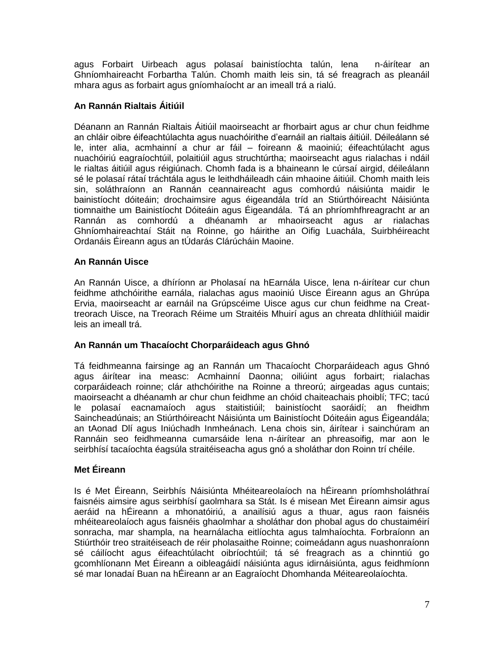agus Forbairt Uirbeach agus polasaí bainistíochta talún, lena n-áirítear an Ghníomhaireacht Forbartha Talún. Chomh maith leis sin, tá sé freagrach as pleanáil mhara agus as forbairt agus gníomhaíocht ar an imeall trá a rialú.

## **An Rannán Rialtais Áitiúil**

Déanann an Rannán Rialtais Áitiúil maoirseacht ar fhorbairt agus ar chur chun feidhme an chláir oibre éifeachtúlachta agus nuachóirithe d'earnáil an rialtais áitiúil. Déileálann sé le, inter alia, acmhainní a chur ar fáil – foireann & maoiniú; éifeachtúlacht agus nuachóiriú eagraíochtúil, polaitiúil agus struchtúrtha; maoirseacht agus rialachas i ndáil le rialtas áitiúil agus réigiúnach. Chomh fada is a bhaineann le cúrsaí airgid, déileálann sé le polasaí rátaí tráchtála agus le leithdháileadh cáin mhaoine áitiúil. Chomh maith leis sin, soláthraíonn an Rannán ceannaireacht agus comhordú náisiúnta maidir le bainistíocht dóiteáin; drochaimsire agus éigeandála tríd an Stiúrthóireacht Náisiúnta tiomnaithe um Bainistíocht Dóiteáin agus Éigeandála. Tá an phríomhfhreagracht ar an Rannán as comhordú a dhéanamh ar mhaoirseacht agus ar rialachas Ghníomhaireachtaí Stáit na Roinne, go háirithe an Oifig Luachála, Suirbhéireacht Ordanáis Éireann agus an tÚdarás Clárúcháin Maoine.

## **An Rannán Uisce**

An Rannán Uisce, a dhíríonn ar Pholasaí na hEarnála Uisce, lena n-áirítear cur chun feidhme athchóirithe earnála, rialachas agus maoiniú Uisce Éireann agus an Ghrúpa Ervia, maoirseacht ar earnáil na Grúpscéime Uisce agus cur chun feidhme na Creattreorach Uisce, na Treorach Réime um Straitéis Mhuirí agus an chreata dhlíthiúil maidir leis an imeall trá.

## **An Rannán um Thacaíocht Chorparáideach agus Ghnó**

Tá feidhmeanna fairsinge ag an Rannán um Thacaíocht Chorparáideach agus Ghnó agus áirítear ina measc: Acmhainní Daonna; oiliúint agus forbairt; rialachas corparáideach roinne; clár athchóirithe na Roinne a threorú; airgeadas agus cuntais; maoirseacht a dhéanamh ar chur chun feidhme an chóid chaiteachais phoiblí; TFC; tacú le polasaí eacnamaíoch agus staitistiúil; bainistíocht saoráidí; an fheidhm Saincheadúnais; an Stiúrthóireacht Náisiúnta um Bainistíocht Dóiteáin agus Éigeandála; an tAonad Dlí agus Iniúchadh Inmheánach. Lena chois sin, áirítear i sainchúram an Rannáin seo feidhmeanna cumarsáide lena n-áirítear an phreasoifig, mar aon le seirbhísí tacaíochta éagsúla straitéiseacha agus gnó a sholáthar don Roinn trí chéile.

## **Met Éireann**

Is é Met Éireann, Seirbhís Náisiúnta Mhéiteareolaíoch na hÉireann príomhsholáthraí faisnéis aimsire agus seirbhísí gaolmhara sa Stát. Is é misean Met Éireann aimsir agus aeráid na hÉireann a mhonatóiriú, a anailísiú agus a thuar, agus raon faisnéis mhéiteareolaíoch agus faisnéis ghaolmhar a sholáthar don phobal agus do chustaiméirí sonracha, mar shampla, na hearnálacha eitlíochta agus talmhaíochta. Forbraíonn an Stiúrthóir treo straitéiseach de réir pholasaithe Roinne; coimeádann agus nuashonraíonn sé cáilíocht agus éifeachtúlacht oibríochtúil; tá sé freagrach as a chinntiú go gcomhlíonann Met Éireann a oibleagáidí náisiúnta agus idirnáisiúnta, agus feidhmíonn sé mar Ionadaí Buan na hÉireann ar an Eagraíocht Dhomhanda Méiteareolaíochta.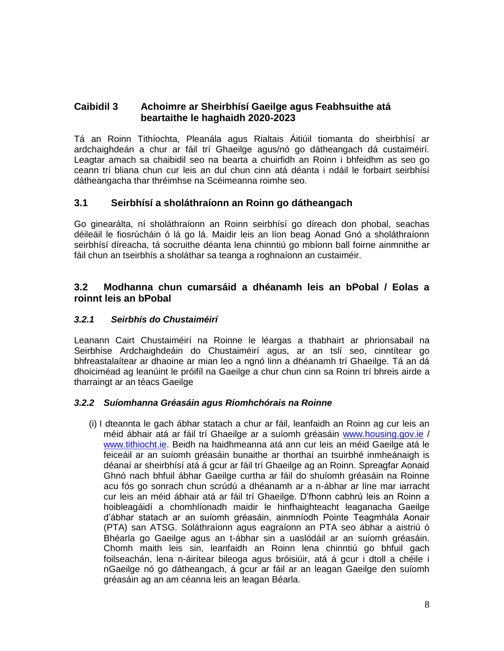## **Caibidil 3 Achoimre ar Sheirbhísí Gaeilge agus Feabhsuithe atá beartaithe le haghaidh 2020-2023**

Tá an Roinn Tithíochta, Pleanála agus Rialtais Áitiúil tiomanta do sheirbhísí ar ardchaighdeán a chur ar fáil trí Ghaeilge agus/nó go dátheangach dá custaiméirí. Leagtar amach sa chaibidil seo na bearta a chuirfidh an Roinn i bhfeidhm as seo go ceann trí bliana chun cur leis an dul chun cinn atá déanta i ndáil le forbairt seirbhísí dátheangacha thar thréimhse na Scéimeanna roimhe seo.

## **3.1 Seirbhísí a sholáthraíonn an Roinn go dátheangach**

Go ginearálta, ní sholáthraíonn an Roinn seirbhísí go díreach don phobal, seachas déileáil le fiosrúcháin ó lá go lá. Maidir leis an líon beag Aonad Gnó a sholáthraíonn seirbhísí díreacha, tá socruithe déanta lena chinntiú go mbíonn ball foirne ainmnithe ar fáil chun an tseirbhís a sholáthar sa teanga a roghnaíonn an custaiméir.

## **3.2 Modhanna chun cumarsáid a dhéanamh leis an bPobal / Eolas a roinnt leis an bPobal**

#### *3.2.1 Seirbhís do Chustaiméirí*

Leanann Cairt Chustaiméirí na Roinne le léargas a thabhairt ar phrionsabail na Seirbhíse Ardchaighdeáin do Chustaiméirí agus, ar an tslí seo, cinntítear go bhfreastalaítear ar dhaoine ar mian leo a ngnó linn a dhéanamh trí Ghaeilge. Tá an dá dhoiciméad ag leanúint le próifíl na Gaeilge a chur chun cinn sa Roinn trí bhreis airde a tharraingt ar an téacs Gaeilge

#### *3.2.2 Suíomhanna Gréasáin agus Ríomhchórais na Roinne*

(i) I dteannta le gach ábhar statach a chur ar fáil, leanfaidh an Roinn ag cur leis an méid ábhair atá ar fáil trí Ghaeilge ar a suíomh gréasáin [www.housing.gov.ie](about:blank) / [www.tithiocht.ie.](about:blank) Beidh na haidhmeanna atá ann cur leis an méid Gaeilge atá le feiceáil ar an suíomh gréasáin bunaithe ar thorthaí an tsuirbhé inmheánaigh is déanaí ar sheirbhísí atá á gcur ar fáil trí Ghaeilge ag an Roinn. Spreagfar Aonaid Ghnó nach bhfuil ábhar Gaeilge curtha ar fáil do shuíomh gréasáin na Roinne acu fós go sonrach chun scrúdú a dhéanamh ar a n-ábhar ar líne mar iarracht cur leis an méid ábhair atá ar fáil trí Ghaeilge. D'fhonn cabhrú leis an Roinn a hoibleagáidí a chomhlíonadh maidir le hinfhaighteacht leaganacha Gaeilge d'ábhar statach ar an suíomh gréasáin, ainmníodh Pointe Teagmhála Aonair (PTA) san ATSG. Soláthraíonn agus eagraíonn an PTA seo ábhar a aistriú ó Bhéarla go Gaeilge agus an t-ábhar sin a uaslódáil ar an suíomh gréasáin. Chomh maith leis sin, leanfaidh an Roinn lena chinntiú go bhfuil gach foilseachán, lena n-áirítear bileoga agus bróisiúir, atá á gcur i dtoll a chéile i nGaeilge nó go dátheangach, á gcur ar fáil ar an leagan Gaeilge den suíomh gréasáin ag an am céanna leis an leagan Béarla.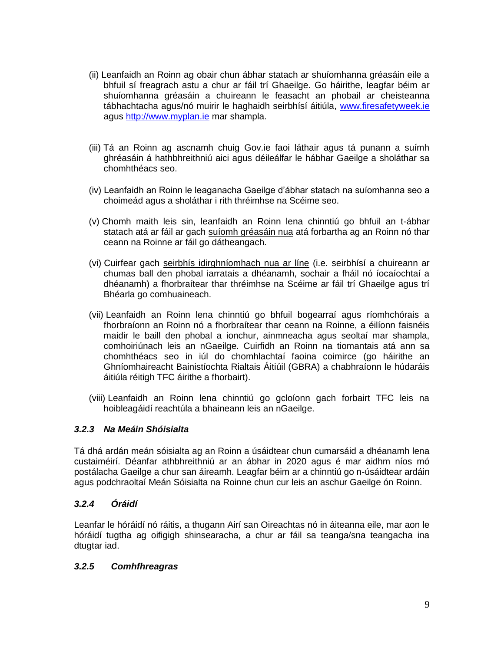- (ii) Leanfaidh an Roinn ag obair chun ábhar statach ar shuíomhanna gréasáin eile a bhfuil sí freagrach astu a chur ar fáil trí Ghaeilge. Go háirithe, leagfar béim ar shuíomhanna gréasáin a chuireann le feasacht an phobail ar cheisteanna tábhachtacha agus/nó muirir le haghaidh seirbhísí áitiúla, [www.firesafetyweek.ie](about:blank) agus [http://www.myplan.ie](about:blank) mar shampla.
- (iii) Tá an Roinn ag ascnamh chuig Gov.ie faoi láthair agus tá punann a suímh ghréasáin á hathbhreithniú aici agus déileálfar le hábhar Gaeilge a sholáthar sa chomhthéacs seo.
- (iv) Leanfaidh an Roinn le leaganacha Gaeilge d'ábhar statach na suíomhanna seo a choimeád agus a sholáthar i rith thréimhse na Scéime seo.
- (v) Chomh maith leis sin, leanfaidh an Roinn lena chinntiú go bhfuil an t-ábhar statach atá ar fáil ar gach suíomh gréasáin nua atá forbartha ag an Roinn nó thar ceann na Roinne ar fáil go dátheangach.
- (vi) Cuirfear gach seirbhís idirghníomhach nua ar líne (i.e. seirbhísí a chuireann ar chumas ball den phobal iarratais a dhéanamh, sochair a fháil nó íocaíochtaí a dhéanamh) a fhorbraítear thar thréimhse na Scéime ar fáil trí Ghaeilge agus trí Bhéarla go comhuaineach.
- (vii) Leanfaidh an Roinn lena chinntiú go bhfuil bogearraí agus ríomhchórais a fhorbraíonn an Roinn nó a fhorbraítear thar ceann na Roinne, a éilíonn faisnéis maidir le baill den phobal a ionchur, ainmneacha agus seoltaí mar shampla, comhoiriúnach leis an nGaeilge. Cuirfidh an Roinn na tiomantais atá ann sa chomhthéacs seo in iúl do chomhlachtaí faoina coimirce (go háirithe an Ghníomhaireacht Bainistíochta Rialtais Áitiúil (GBRA) a chabhraíonn le húdaráis áitiúla réitigh TFC áirithe a fhorbairt).
- (viii) Leanfaidh an Roinn lena chinntiú go gcloíonn gach forbairt TFC leis na hoibleagáidí reachtúla a bhaineann leis an nGaeilge.

#### *3.2.3 Na Meáin Shóisialta*

Tá dhá ardán meán sóisialta ag an Roinn a úsáidtear chun cumarsáid a dhéanamh lena custaiméirí. Déanfar athbhreithniú ar an ábhar in 2020 agus é mar aidhm níos mó postálacha Gaeilge a chur san áireamh. Leagfar béim ar a chinntiú go n-úsáidtear ardáin agus podchraoltaí Meán Sóisialta na Roinne chun cur leis an aschur Gaeilge ón Roinn.

#### *3.2.4 Óráidí*

Leanfar le hóráidí nó ráitis, a thugann Airí san Oireachtas nó in áiteanna eile, mar aon le hóráidí tugtha ag oifigigh shinsearacha, a chur ar fáil sa teanga/sna teangacha ina dtugtar iad.

#### *3.2.5 Comhfhreagras*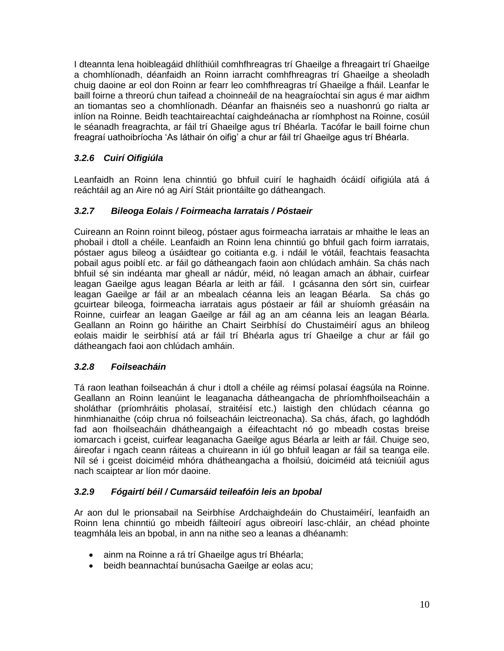I dteannta lena hoibleagáid dhlíthiúil comhfhreagras trí Ghaeilge a fhreagairt trí Ghaeilge a chomhlíonadh, déanfaidh an Roinn iarracht comhfhreagras trí Ghaeilge a sheoladh chuig daoine ar eol don Roinn ar fearr leo comhfhreagras trí Ghaeilge a fháil. Leanfar le baill foirne a threorú chun taifead a choinneáil de na heagraíochtaí sin agus é mar aidhm an tiomantas seo a chomhlíonadh. Déanfar an fhaisnéis seo a nuashonrú go rialta ar inlíon na Roinne. Beidh teachtaireachtaí caighdeánacha ar ríomhphost na Roinne, cosúil le séanadh freagrachta, ar fáil trí Ghaeilge agus trí Bhéarla. Tacófar le baill foirne chun freagraí uathoibríocha 'As láthair ón oifig' a chur ar fáil trí Ghaeilge agus trí Bhéarla.

## *3.2.6 Cuirí Oifigiúla*

Leanfaidh an Roinn lena chinntiú go bhfuil cuirí le haghaidh ócáidí oifigiúla atá á reáchtáil ag an Aire nó ag Airí Stáit priontáilte go dátheangach.

## *3.2.7 Bileoga Eolais / Foirmeacha Iarratais / Póstaeir*

Cuireann an Roinn roinnt bileog, póstaer agus foirmeacha iarratais ar mhaithe le leas an phobail i dtoll a chéile. Leanfaidh an Roinn lena chinntiú go bhfuil gach foirm iarratais, póstaer agus bileog a úsáidtear go coitianta e.g. i ndáil le vótáil, feachtais feasachta pobail agus poiblí etc. ar fáil go dátheangach faoin aon chlúdach amháin. Sa chás nach bhfuil sé sin indéanta mar gheall ar nádúr, méid, nó leagan amach an ábhair, cuirfear leagan Gaeilge agus leagan Béarla ar leith ar fáil. I gcásanna den sórt sin, cuirfear leagan Gaeilge ar fáil ar an mbealach céanna leis an leagan Béarla. Sa chás go gcuirtear bileoga, foirmeacha iarratais agus póstaeir ar fáil ar shuíomh gréasáin na Roinne, cuirfear an leagan Gaeilge ar fáil ag an am céanna leis an leagan Béarla. Geallann an Roinn go háirithe an Chairt Seirbhísí do Chustaiméirí agus an bhileog eolais maidir le seirbhísí atá ar fáil trí Bhéarla agus trí Ghaeilge a chur ar fáil go dátheangach faoi aon chlúdach amháin.

## *3.2.8 Foilseacháin*

Tá raon leathan foilseachán á chur i dtoll a chéile ag réimsí polasaí éagsúla na Roinne. Geallann an Roinn leanúint le leaganacha dátheangacha de phríomhfhoilseacháin a sholáthar (príomhráitis pholasaí, straitéisí etc.) laistigh den chlúdach céanna go hinmhianaithe (cóip chrua nó foilseacháin leictreonacha). Sa chás, áfach, go laghdódh fad aon fhoilseacháin dhátheangaigh a éifeachtacht nó go mbeadh costas breise iomarcach i gceist, cuirfear leaganacha Gaeilge agus Béarla ar leith ar fáil. Chuige seo, áireofar i ngach ceann ráiteas a chuireann in iúl go bhfuil leagan ar fáil sa teanga eile. Níl sé i gceist doiciméid mhóra dhátheangacha a fhoilsiú, doiciméid atá teicniúil agus nach scaiptear ar líon mór daoine.

## *3.2.9 Fógairtí béil / Cumarsáid teileafóin leis an bpobal*

Ar aon dul le prionsabail na Seirbhíse Ardchaighdeáin do Chustaiméirí, leanfaidh an Roinn lena chinntiú go mbeidh fáilteoirí agus oibreoirí lasc-chláir, an chéad phointe teagmhála leis an bpobal, in ann na nithe seo a leanas a dhéanamh:

- ainm na Roinne a rá trí Ghaeilge agus trí Bhéarla;
- beidh beannachtaí bunúsacha Gaeilge ar eolas acu;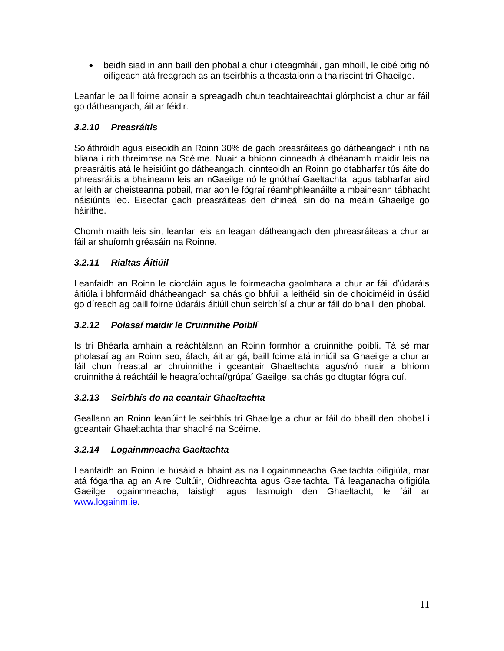beidh siad in ann baill den phobal a chur i dteagmháil, gan mhoill, le cibé oifig nó oifigeach atá freagrach as an tseirbhís a theastaíonn a thairiscint trí Ghaeilge.

Leanfar le baill foirne aonair a spreagadh chun teachtaireachtaí glórphoist a chur ar fáil go dátheangach, áit ar féidir.

## *3.2.10 Preasráitis*

Soláthróidh agus eiseoidh an Roinn 30% de gach preasráiteas go dátheangach i rith na bliana i rith thréimhse na Scéime. Nuair a bhíonn cinneadh á dhéanamh maidir leis na preasráitis atá le heisiúint go dátheangach, cinnteoidh an Roinn go dtabharfar tús áite do phreasráitis a bhaineann leis an nGaeilge nó le gnóthaí Gaeltachta, agus tabharfar aird ar leith ar cheisteanna pobail, mar aon le fógraí réamhphleanáilte a mbaineann tábhacht náisiúnta leo. Eiseofar gach preasráiteas den chineál sin do na meáin Ghaeilge go háirithe.

Chomh maith leis sin, leanfar leis an leagan dátheangach den phreasráiteas a chur ar fáil ar shuíomh gréasáin na Roinne.

## *3.2.11 Rialtas Áitiúil*

Leanfaidh an Roinn le ciorcláin agus le foirmeacha gaolmhara a chur ar fáil d'údaráis áitiúla i bhformáid dhátheangach sa chás go bhfuil a leithéid sin de dhoiciméid in úsáid go díreach ag baill foirne údaráis áitiúil chun seirbhísí a chur ar fáil do bhaill den phobal.

## *3.2.12 Polasaí maidir le Cruinnithe Poiblí*

Is trí Bhéarla amháin a reáchtálann an Roinn formhór a cruinnithe poiblí. Tá sé mar pholasaí ag an Roinn seo, áfach, áit ar gá, baill foirne atá inniúil sa Ghaeilge a chur ar fáil chun freastal ar chruinnithe i gceantair Ghaeltachta agus/nó nuair a bhíonn cruinnithe á reáchtáil le heagraíochtaí/grúpaí Gaeilge, sa chás go dtugtar fógra cuí.

## *3.2.13 Seirbhís do na ceantair Ghaeltachta*

Geallann an Roinn leanúint le seirbhís trí Ghaeilge a chur ar fáil do bhaill den phobal i gceantair Ghaeltachta thar shaolré na Scéime.

## *3.2.14 Logainmneacha Gaeltachta*

Leanfaidh an Roinn le húsáid a bhaint as na Logainmneacha Gaeltachta oifigiúla, mar atá fógartha ag an Aire Cultúir, Oidhreachta agus Gaeltachta. Tá leaganacha oifigiúla Gaeilge logainmneacha, laistigh agus lasmuigh den Ghaeltacht, le fáil ar [www.logainm.ie.](about:blank)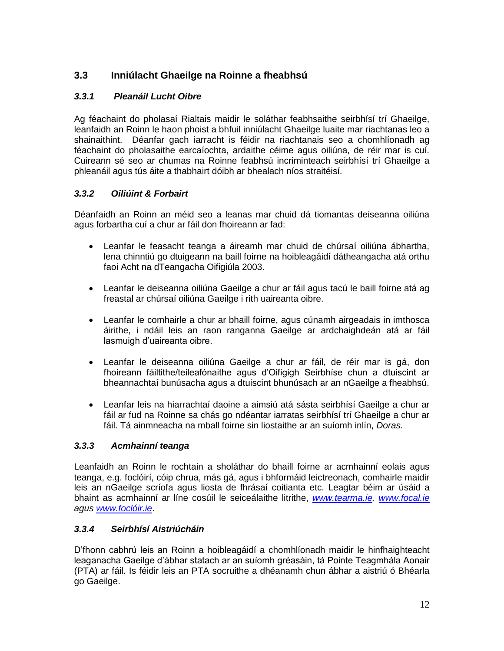# **3.3 Inniúlacht Ghaeilge na Roinne a fheabhsú**

## *3.3.1 Pleanáil Lucht Oibre*

Ag féachaint do pholasaí Rialtais maidir le soláthar feabhsaithe seirbhísí trí Ghaeilge, leanfaidh an Roinn le haon phoist a bhfuil inniúlacht Ghaeilge luaite mar riachtanas leo a shainaithint. Déanfar gach iarracht is féidir na riachtanais seo a chomhlíonadh ag féachaint do pholasaithe earcaíochta, ardaithe céime agus oiliúna, de réir mar is cuí. Cuireann sé seo ar chumas na Roinne feabhsú incriminteach seirbhísí trí Ghaeilge a phleanáil agus tús áite a thabhairt dóibh ar bhealach níos straitéisí.

## *3.3.2 Oiliúint & Forbairt*

Déanfaidh an Roinn an méid seo a leanas mar chuid dá tiomantas deiseanna oiliúna agus forbartha cuí a chur ar fáil don fhoireann ar fad:

- Leanfar le feasacht teanga a áireamh mar chuid de chúrsaí oiliúna ábhartha, lena chinntiú go dtuigeann na baill foirne na hoibleagáidí dátheangacha atá orthu faoi Acht na dTeangacha Oifigiúla 2003.
- Leanfar le deiseanna oiliúna Gaeilge a chur ar fáil agus tacú le baill foirne atá ag freastal ar chúrsaí oiliúna Gaeilge i rith uaireanta oibre.
- Leanfar le comhairle a chur ar bhaill foirne, agus cúnamh airgeadais in imthosca áirithe, i ndáil leis an raon ranganna Gaeilge ar ardchaighdeán atá ar fáil lasmuigh d'uaireanta oibre.
- Leanfar le deiseanna oiliúna Gaeilge a chur ar fáil, de réir mar is gá, don fhoireann fáiltithe/teileafónaithe agus d'Oifigigh Seirbhíse chun a dtuiscint ar bheannachtaí bunúsacha agus a dtuiscint bhunúsach ar an nGaeilge a fheabhsú.
- Leanfar leis na hiarrachtaí daoine a aimsiú atá sásta seirbhísí Gaeilge a chur ar fáil ar fud na Roinne sa chás go ndéantar iarratas seirbhísí trí Ghaeilge a chur ar fáil. Tá ainmneacha na mball foirne sin liostaithe ar an suíomh inlín, *Doras.*

#### *3.3.3 Acmhainní teanga*

Leanfaidh an Roinn le rochtain a sholáthar do bhaill foirne ar acmhainní eolais agus teanga, e.g. foclóirí, cóip chrua, más gá, agus i bhformáid leictreonach, comhairle maidir leis an nGaeilge scríofa agus liosta de fhrásaí coitianta etc. Leagtar béim ar úsáid a bhaint as acmhainní ar líne cosúil le seiceálaithe litrithe, *[www.tearma.ie, www.focal.ie](about:blank) agus [www.foclóir.ie](about:blank)*.

## *3.3.4 Seirbhísí Aistriúcháin*

D'fhonn cabhrú leis an Roinn a hoibleagáidí a chomhlíonadh maidir le hinfhaighteacht leaganacha Gaeilge d'ábhar statach ar an suíomh gréasáin, tá Pointe Teagmhála Aonair (PTA) ar fáil. Is féidir leis an PTA socruithe a dhéanamh chun ábhar a aistriú ó Bhéarla go Gaeilge.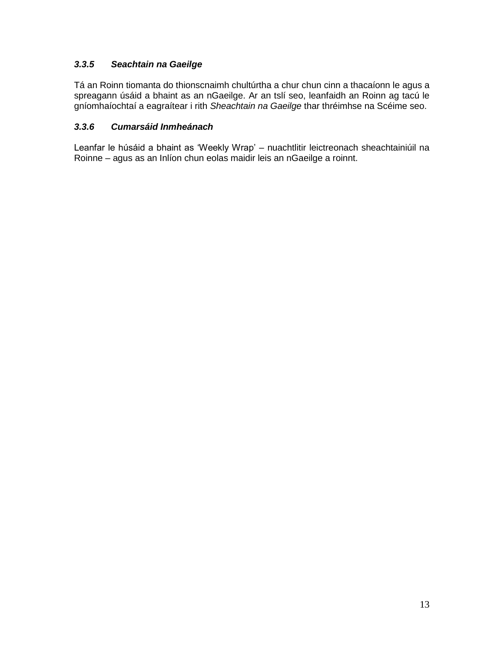## *3.3.5 Seachtain na Gaeilge*

Tá an Roinn tiomanta do thionscnaimh chultúrtha a chur chun cinn a thacaíonn le agus a spreagann úsáid a bhaint as an nGaeilge. Ar an tslí seo, leanfaidh an Roinn ag tacú le gníomhaíochtaí a eagraítear i rith *Sheachtain na Gaeilge* thar thréimhse na Scéime seo.

## *3.3.6 Cumarsáid Inmheánach*

Leanfar le húsáid a bhaint as 'Weekly Wrap' – nuachtlitir leictreonach sheachtainiúil na Roinne – agus as an Inlíon chun eolas maidir leis an nGaeilge a roinnt.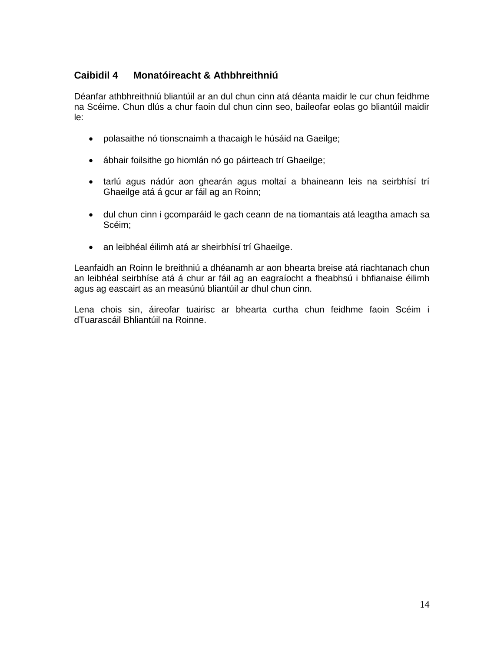## **Caibidil 4 Monatóireacht & Athbhreithniú**

Déanfar athbhreithniú bliantúil ar an dul chun cinn atá déanta maidir le cur chun feidhme na Scéime. Chun dlús a chur faoin dul chun cinn seo, baileofar eolas go bliantúil maidir le:

- polasaithe nó tionscnaimh a thacaigh le húsáid na Gaeilge;
- ábhair foilsithe go hiomlán nó go páirteach trí Ghaeilge;
- tarlú agus nádúr aon ghearán agus moltaí a bhaineann leis na seirbhísí trí Ghaeilge atá á gcur ar fáil ag an Roinn;
- dul chun cinn i gcomparáid le gach ceann de na tiomantais atá leagtha amach sa Scéim;
- an leibhéal éilimh atá ar sheirbhísí trí Ghaeilge.

Leanfaidh an Roinn le breithniú a dhéanamh ar aon bhearta breise atá riachtanach chun an leibhéal seirbhíse atá á chur ar fáil ag an eagraíocht a fheabhsú i bhfianaise éilimh agus ag eascairt as an measúnú bliantúil ar dhul chun cinn.

Lena chois sin, áireofar tuairisc ar bhearta curtha chun feidhme faoin Scéim i dTuarascáil Bhliantúil na Roinne.